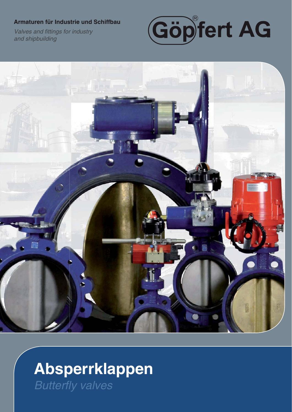#### Armaturen für Industrie und Schiffbau

Valves and fittings for industry and shipbuilding





# Absperrklappen **Butterfly valves**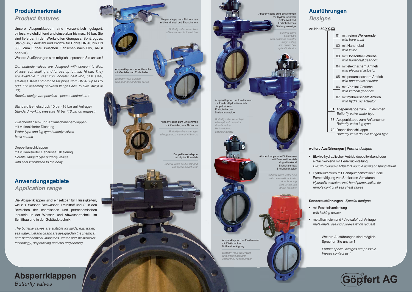Art.Nr.: **50.XX.XX**

Unsere Absperrklappen sind konzentrisch gelagert, ge pinless, weichdichtend und einsetzbar bis max. 16 bar. Sie sind lieferbar in den Werkstoffen Grauguss, Sphäroguss, us Stahlguss, Edelstahl und Bronze für Rohre DN 40 bis DN 600. Zum Einbau zwischen Flanschen nach DIN, ANSI ANoder JIS.ert, Sie<br>
Sie<br>
USI NSI<br>
MUSI NOTE<br>
MUSI NOTE<br>
MUSI NOTE<br>
MUSI NOTE<br>
MUSI NOTE<br>
MUSI NOTE<br>
MUSI NOTE<br>
MUSI NOTE<br>
MUSI NOTE<br>
MUSI NOTE<br>
MUSI NOTE<br>
MUSI NOTE<br>
MUSI NOTE<br>
MUSI NOTE<br>
MUSI NOTE<br>
MUSI NOTE<br>
MUSI NOTE<br>
MUSI NOTE<br>

Weitere Ausführungen sind möglich - sprechen Sie uns an !

|                                                                         |  | 01 mit freiem Wellenende<br>with bare shaft             |
|-------------------------------------------------------------------------|--|---------------------------------------------------------|
|                                                                         |  | 02 mit Handhebel<br>with lever                          |
|                                                                         |  | 03 mit Horizontal-Getriebe<br>with horizontal gear box  |
|                                                                         |  | 04 mit elektrischem Antrieb<br>with electrical actuator |
|                                                                         |  | 05 mit pneumatischem Antrieb<br>with pneumatic actuator |
|                                                                         |  | 06 mit Vertikal-Getriebe<br>with vertical gear box      |
|                                                                         |  | 07 mit hydraulischem Antrieb<br>with hydraulic actuator |
| Absperrklappe zum Einklemmen<br>61<br><b>Butterfly valve wafer type</b> |  |                                                         |
| 63 Absperrklappe zum Anflanschen<br><b>Butterfly valve lug type</b>     |  |                                                         |
| Doppelflanschklappe<br>70<br>Butterfly valve double flanged type        |  |                                                         |

#### **Ausführungen**

*Designs*

*The butterfly valves are suitable for fluids, e.g. water, f sea water, fuel and oil and are designed for the chemical and petrochemical industries, water and wastewater r wastewater technology, shipbuilding and civil engineering. g gineering.*<br>Absperrk mit Elektr

### **Absperrklappen e Butterfly valves**

Absperrklappe zum Einklemmen mit Handhebel und Endschaltern

*Our butterfly valves are designed with concentric disc, pinless, soft sealing and for use up to max. 16 bar. They are available in cast iron, nodular cast iron, cast steel, stainless steel and bronze for pipes from DN 40 up to DN 600. For assembly between flanges acc. to DIN, ANSI or or JIS.*

*Special design are possible - please contact us !*

Standard Betriebsdruck 10 bar (16 bar auf Anfrage) *Standard working pressure 10 bar (16 bar on request)*

Zwischenflansch- und Anflanschabsperrklappen mit vulkanisierter Dichtung *Wafer type and lug type butterfly valves back seated*

**Butterfly valve lug type** *with gear box and limit switch*

> mit Getriebe, aus Al-Bronze **Butterfly valve wafer type**

Doppelflanschklappen mit vulkanisierter Gehäuseauskleidung *Double flanged type butterfly valves with seat vulcanised to the body*

Doppelflanschklappe mit Hydraulikantrieb

*Butterfly valve double flanged with hydraulic actuator*

#### **Produktmerkmale**

*Product features*

- mit Feststellvorrichtung  *with locking device*
- metallisch dichtend / "fire-safe" auf Anfrage  *metal/metal sealing / "fire-safe" on request*

#### **Anwendungsgebiete** *Application range*

Die Absperrklappen sind einsetzbar für Flüssigkeiten, wie z.B. Wasser, Seewasser, Treibstoff und Öl in den Bereichen der chemischen und petrochemischen Industrie, in der Wasser- und Abwassertechnik, im Schiffbau und in der Gebäudetechnik. ar fur Flussigkeiter<br>bstoff und Öl in de<br>btwassertechnik, in<br>hik.<br>*r fluids, e.g. water,*<br>ned for the chemical<br>er and wastewater<br>ngineering.<br>**CI** 

*Butterfly valve wafer type with electric actuator emergency handoperation ncy emergen*

**Butterfly yalve wafer type** *with lever and limit switcheswit w*

Absperrklappe zum Anflanschen<br>mit Getriebe und Endschalter<br>*Butterfly valve lug type*<br>with gear box and limit switch mit Getriebe und Endschalter r



#### **Sonderausführungen** | *Special designs*



Weitere Ausführungen sind möglich. Sprechen Sie uns an !

*Further special designs are possible. Please contact us !*

# **Göpfert AG**

#### **weitere Ausführungen** | *Further designs*

- Elektro-hydraulischer Antrieb doppeltwirkend oder einfachwirkend mit Federrückstellung  *Electro-hydraulic actuators double acting or spring return*
- Hydraulikantrieb mit Handpumpenstation für die Fernbetätigung von Seekasten-Armaturen  *Hydraulic actuators incl. hand pump station for remote control of sea chest valves*